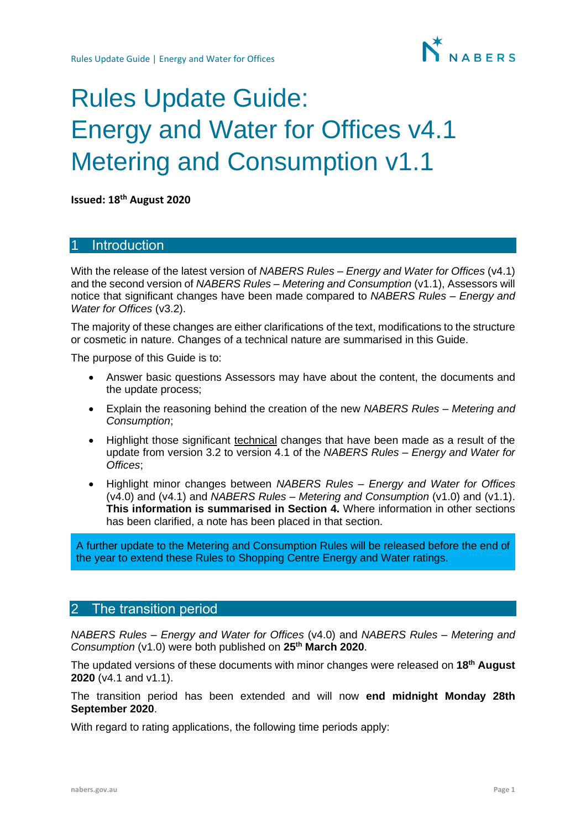

# Rules Update Guide: Energy and Water for Offices v4.1 Metering and Consumption v1.1

**Issued: 18th August 2020**

## **Introduction**

With the release of the latest version of *NABERS Rules – Energy and Water for Offices* (v4.1) and the second version of *NABERS Rules – Metering and Consumption* (v1.1), Assessors will notice that significant changes have been made compared to *NABERS Rules – Energy and Water for Offices* (v3.2).

The majority of these changes are either clarifications of the text, modifications to the structure or cosmetic in nature. Changes of a technical nature are summarised in this Guide.

The purpose of this Guide is to:

- Answer basic questions Assessors may have about the content, the documents and the update process;
- Explain the reasoning behind the creation of the new *NABERS Rules – Metering and Consumption*;
- Highlight those significant technical changes that have been made as a result of the update from version 3.2 to version 4.1 of the *NABERS Rules – Energy and Water for Offices*;
- Highlight minor changes between *NABERS Rules – Energy and Water for Offices* (v4.0) and (v4.1) and *NABERS Rules – Metering and Consumption* (v1.0) and (v1.1). **This information is summarised in Section [4.](#page-5-0)** Where information in other sections has been clarified, a note has been placed in that section.

A further update to the Metering and Consumption Rules will be released before the end of the year to extend these Rules to Shopping Centre Energy and Water ratings.

## 2 The transition period

*NABERS Rules – Energy and Water for Offices* (v4.0) and *NABERS Rules – Metering and Consumption* (v1.0) were both published on **25 th March 2020**.

The updated versions of these documents with minor changes were released on **18th August 2020** (v4.1 and v1.1).

The transition period has been extended and will now **end midnight Monday 28th September 2020**.

With regard to rating applications, the following time periods apply: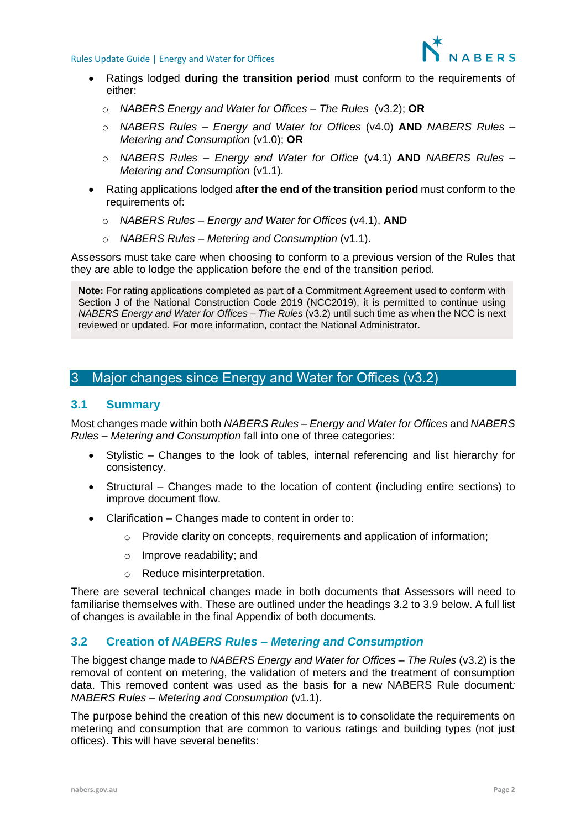

- Ratings lodged **during the transition period** must conform to the requirements of either:
	- o *NABERS Energy and Water for Offices – The Rules* (v3.2); **OR**
	- o *NABERS Rules – Energy and Water for Offices* (v4.0) **AND** *NABERS Rules – Metering and Consumption* (v1.0); **OR**
	- o *NABERS Rules – Energy and Water for Office* (v4.1) **AND** *NABERS Rules – Metering and Consumption* (v1.1).
- Rating applications lodged **after the end of the transition period** must conform to the requirements of:
	- o *NABERS Rules – Energy and Water for Offices* (v4.1), **AND**
	- o *NABERS Rules – Metering and Consumption* (v1.1).

Assessors must take care when choosing to conform to a previous version of the Rules that they are able to lodge the application before the end of the transition period.

**Note:** For rating applications completed as part of a Commitment Agreement used to conform with Section J of the National Construction Code 2019 (NCC2019), it is permitted to continue using *NABERS Energy and Water for Offices – The Rules* (v3.2) until such time as when the NCC is next reviewed or updated. For more information, contact the National Administrator.

## 3 Major changes since Energy and Water for Offices (v3.2)

#### **3.1 Summary**

Most changes made within both *NABERS Rules – Energy and Water for Offices* and *NABERS Rules – Metering and Consumption* fall into one of three categories:

- Stylistic Changes to the look of tables, internal referencing and list hierarchy for consistency.
- Structural Changes made to the location of content (including entire sections) to improve document flow.
- Clarification Changes made to content in order to:
	- o Provide clarity on concepts, requirements and application of information;
	- o Improve readability; and
	- o Reduce misinterpretation.

There are several technical changes made in both documents that Assessors will need to familiarise themselves with. These are outlined under the headings 3.2 to 3.9 below. A full list of changes is available in the final Appendix of both documents.

## **3.2 Creation of** *NABERS Rules – Metering and Consumption*

The biggest change made to *NABERS Energy and Water for Offices – The Rules* (v3.2) is the removal of content on metering, the validation of meters and the treatment of consumption data. This removed content was used as the basis for a new NABERS Rule document*: NABERS Rules – Metering and Consumption* (v1.1).

The purpose behind the creation of this new document is to consolidate the requirements on metering and consumption that are common to various ratings and building types (not just offices). This will have several benefits: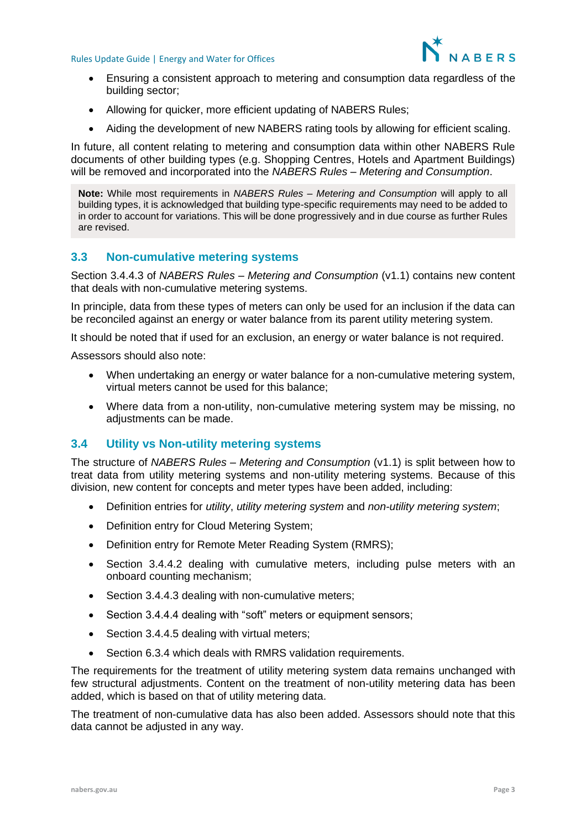

- Ensuring a consistent approach to metering and consumption data regardless of the building sector;
- Allowing for quicker, more efficient updating of NABERS Rules;
- Aiding the development of new NABERS rating tools by allowing for efficient scaling.

In future, all content relating to metering and consumption data within other NABERS Rule documents of other building types (e.g. Shopping Centres, Hotels and Apartment Buildings) will be removed and incorporated into the *NABERS Rules – Metering and Consumption*.

**Note:** While most requirements in *NABERS Rules – Metering and Consumption* will apply to all building types, it is acknowledged that building type-specific requirements may need to be added to in order to account for variations. This will be done progressively and in due course as further Rules are revised.

## **3.3 Non-cumulative metering systems**

Section 3.4.4.3 of *NABERS Rules – Metering and Consumption* (v1.1) contains new content that deals with non-cumulative metering systems.

In principle, data from these types of meters can only be used for an inclusion if the data can be reconciled against an energy or water balance from its parent utility metering system.

It should be noted that if used for an exclusion, an energy or water balance is not required.

Assessors should also note:

- When undertaking an energy or water balance for a non-cumulative metering system, virtual meters cannot be used for this balance;
- Where data from a non-utility, non-cumulative metering system may be missing, no adjustments can be made.

## **3.4 Utility vs Non-utility metering systems**

The structure of *NABERS Rules – Metering and Consumption* (v1.1) is split between how to treat data from utility metering systems and non-utility metering systems. Because of this division, new content for concepts and meter types have been added, including:

- Definition entries for *utility*, *utility metering system* and *non-utility metering system*;
- Definition entry for Cloud Metering System;
- Definition entry for Remote Meter Reading System (RMRS);
- Section 3.4.4.2 dealing with cumulative meters, including pulse meters with an onboard counting mechanism;
- Section 3.4.4.3 dealing with non-cumulative meters;
- Section 3.4.4.4 dealing with "soft" meters or equipment sensors;
- Section 3.4.4.5 dealing with virtual meters;
- Section 6.3.4 which deals with RMRS validation requirements.

The requirements for the treatment of utility metering system data remains unchanged with few structural adjustments. Content on the treatment of non-utility metering data has been added, which is based on that of utility metering data.

The treatment of non-cumulative data has also been added. Assessors should note that this data cannot be adjusted in any way.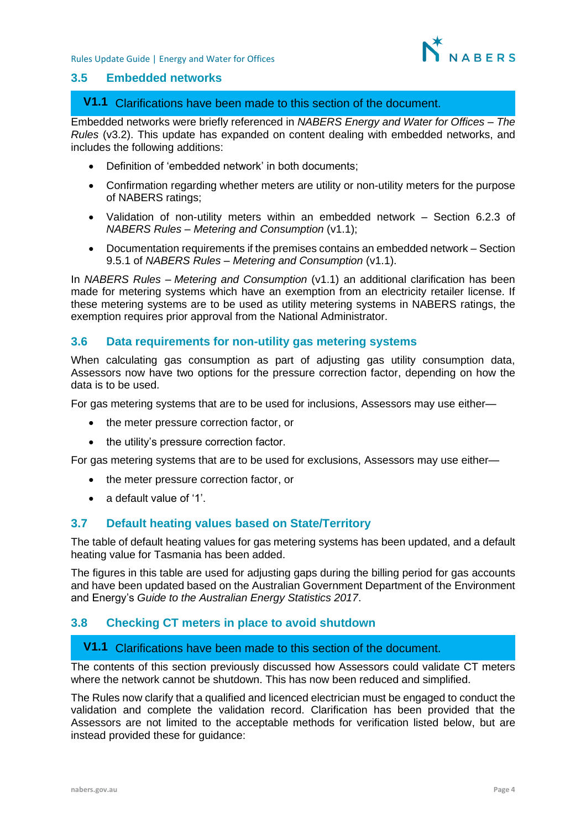

#### **3.5 Embedded networks**

## Clarifications have been made to this section of the document. **V1.1**

Embedded networks were briefly referenced in *NABERS Energy and Water for Offices – The Rules* (v3.2). This update has expanded on content dealing with embedded networks, and includes the following additions:

- Definition of 'embedded network' in both documents;
- Confirmation regarding whether meters are utility or non-utility meters for the purpose of NABERS ratings;
- Validation of non-utility meters within an embedded network Section 6.2.3 of *NABERS Rules – Metering and Consumption* (v1.1);
- Documentation requirements if the premises contains an embedded network Section 9.5.1 of *NABERS Rules – Metering and Consumption* (v1.1).

In *NABERS Rules – Metering and Consumption* (v1.1) an additional clarification has been made for metering systems which have an exemption from an electricity retailer license. If these metering systems are to be used as utility metering systems in NABERS ratings, the exemption requires prior approval from the National Administrator.

## **3.6 Data requirements for non-utility gas metering systems**

When calculating gas consumption as part of adjusting gas utility consumption data, Assessors now have two options for the pressure correction factor, depending on how the data is to be used.

For gas metering systems that are to be used for inclusions, Assessors may use either—

- the meter pressure correction factor, or
- the utility's pressure correction factor.

For gas metering systems that are to be used for exclusions, Assessors may use either—

- the meter pressure correction factor, or
- a default value of '1'.

### **3.7 Default heating values based on State/Territory**

The table of default heating values for gas metering systems has been updated, and a default heating value for Tasmania has been added.

The figures in this table are used for adjusting gaps during the billing period for gas accounts and have been updated based on the Australian Government Department of the Environment and Energy's *Guide to the Australian Energy Statistics 2017*.

## **3.8 Checking CT meters in place to avoid shutdown**

## Clarifications have been made to this section of the document. **V1.1**

The contents of this section previously discussed how Assessors could validate CT meters where the network cannot be shutdown. This has now been reduced and simplified.

The Rules now clarify that a qualified and licenced electrician must be engaged to conduct the validation and complete the validation record. Clarification has been provided that the Assessors are not limited to the acceptable methods for verification listed below, but are instead provided these for guidance: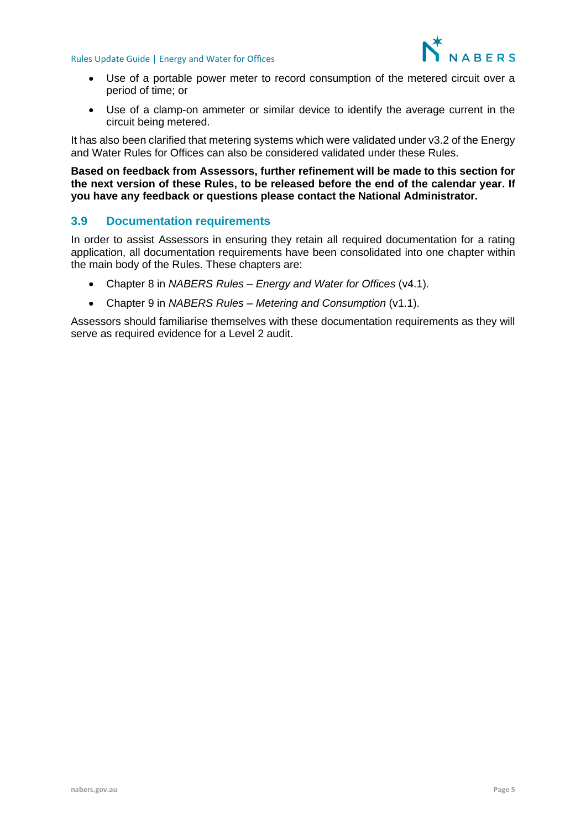

- Use of a portable power meter to record consumption of the metered circuit over a period of time; or
- Use of a clamp-on ammeter or similar device to identify the average current in the circuit being metered.

It has also been clarified that metering systems which were validated under v3.2 of the Energy and Water Rules for Offices can also be considered validated under these Rules.

#### **Based on feedback from Assessors, further refinement will be made to this section for the next version of these Rules, to be released before the end of the calendar year. If you have any feedback or questions please contact the National Administrator.**

## **3.9 Documentation requirements**

In order to assist Assessors in ensuring they retain all required documentation for a rating application, all documentation requirements have been consolidated into one chapter within the main body of the Rules. These chapters are:

- Chapter 8 in *NABERS Rules – Energy and Water for Offices* (v4.1)*.*
- Chapter 9 in *NABERS Rules – Metering and Consumption* (v1.1).

Assessors should familiarise themselves with these documentation requirements as they will serve as required evidence for a Level 2 audit.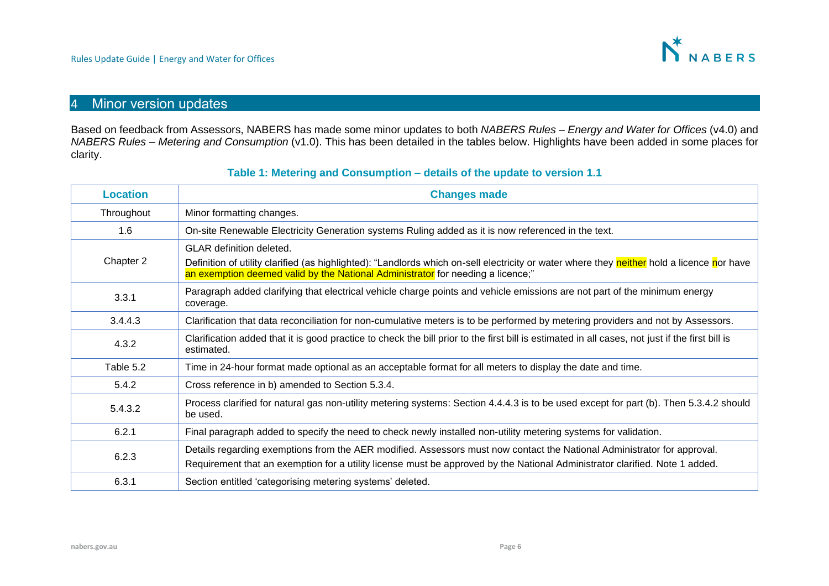

## 4 Minor version updates

Based on feedback from Assessors, NABERS has made some minor updates to both *NABERS Rules – Energy and Water for Offices* (v4.0) and *NABERS Rules – Metering and Consumption* (v1.0). This has been detailed in the tables below. Highlights have been added in some places for clarity.

#### **Table 1: Metering and Consumption – details of the update to version 1.1**

<span id="page-5-0"></span>

| <b>Location</b> | <b>Changes made</b>                                                                                                                                                                                                                                              |
|-----------------|------------------------------------------------------------------------------------------------------------------------------------------------------------------------------------------------------------------------------------------------------------------|
| Throughout      | Minor formatting changes.                                                                                                                                                                                                                                        |
| 1.6             | On-site Renewable Electricity Generation systems Ruling added as it is now referenced in the text.                                                                                                                                                               |
| Chapter 2       | <b>GLAR</b> definition deleted.<br>Definition of utility clarified (as highlighted): "Landlords which on-sell electricity or water where they neither hold a licence nor have<br>an exemption deemed valid by the National Administrator for needing a licence;" |
| 3.3.1           | Paragraph added clarifying that electrical vehicle charge points and vehicle emissions are not part of the minimum energy<br>coverage.                                                                                                                           |
| 3.4.4.3         | Clarification that data reconciliation for non-cumulative meters is to be performed by metering providers and not by Assessors.                                                                                                                                  |
| 4.3.2           | Clarification added that it is good practice to check the bill prior to the first bill is estimated in all cases, not just if the first bill is<br>estimated.                                                                                                    |
| Table 5.2       | Time in 24-hour format made optional as an acceptable format for all meters to display the date and time.                                                                                                                                                        |
| 5.4.2           | Cross reference in b) amended to Section 5.3.4.                                                                                                                                                                                                                  |
| 5.4.3.2         | Process clarified for natural gas non-utility metering systems: Section 4.4.4.3 is to be used except for part (b). Then 5.3.4.2 should<br>be used.                                                                                                               |
| 6.2.1           | Final paragraph added to specify the need to check newly installed non-utility metering systems for validation.                                                                                                                                                  |
| 6.2.3           | Details regarding exemptions from the AER modified. Assessors must now contact the National Administrator for approval.<br>Requirement that an exemption for a utility license must be approved by the National Administrator clarified. Note 1 added.           |
| 6.3.1           | Section entitled 'categorising metering systems' deleted.                                                                                                                                                                                                        |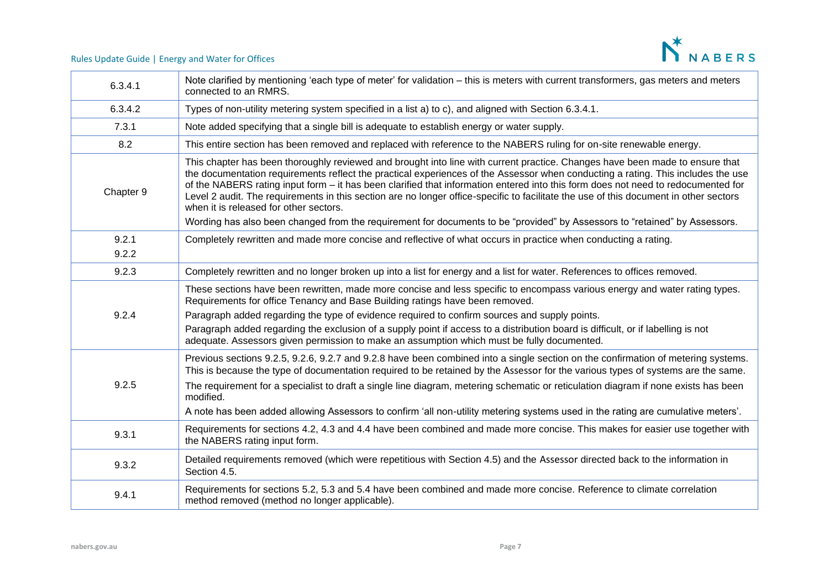

| 6.3.4.1        | Note clarified by mentioning 'each type of meter' for validation – this is meters with current transformers, gas meters and meters<br>connected to an RMRS.                                                                                                                                                                                                                                                                                                                                                                                                                                                                                                                                                            |
|----------------|------------------------------------------------------------------------------------------------------------------------------------------------------------------------------------------------------------------------------------------------------------------------------------------------------------------------------------------------------------------------------------------------------------------------------------------------------------------------------------------------------------------------------------------------------------------------------------------------------------------------------------------------------------------------------------------------------------------------|
| 6.3.4.2        | Types of non-utility metering system specified in a list a) to c), and aligned with Section 6.3.4.1.                                                                                                                                                                                                                                                                                                                                                                                                                                                                                                                                                                                                                   |
| 7.3.1          | Note added specifying that a single bill is adequate to establish energy or water supply.                                                                                                                                                                                                                                                                                                                                                                                                                                                                                                                                                                                                                              |
| 8.2            | This entire section has been removed and replaced with reference to the NABERS ruling for on-site renewable energy.                                                                                                                                                                                                                                                                                                                                                                                                                                                                                                                                                                                                    |
| Chapter 9      | This chapter has been thoroughly reviewed and brought into line with current practice. Changes have been made to ensure that<br>the documentation requirements reflect the practical experiences of the Assessor when conducting a rating. This includes the use<br>of the NABERS rating input form – it has been clarified that information entered into this form does not need to redocumented for<br>Level 2 audit. The requirements in this section are no longer office-specific to facilitate the use of this document in other sectors<br>when it is released for other sectors.<br>Wording has also been changed from the requirement for documents to be "provided" by Assessors to "retained" by Assessors. |
| 9.2.1<br>9.2.2 | Completely rewritten and made more concise and reflective of what occurs in practice when conducting a rating.                                                                                                                                                                                                                                                                                                                                                                                                                                                                                                                                                                                                         |
| 9.2.3          | Completely rewritten and no longer broken up into a list for energy and a list for water. References to offices removed.                                                                                                                                                                                                                                                                                                                                                                                                                                                                                                                                                                                               |
| 9.2.4          | These sections have been rewritten, made more concise and less specific to encompass various energy and water rating types.<br>Requirements for office Tenancy and Base Building ratings have been removed.<br>Paragraph added regarding the type of evidence required to confirm sources and supply points.<br>Paragraph added regarding the exclusion of a supply point if access to a distribution board is difficult, or if labelling is not<br>adequate. Assessors given permission to make an assumption which must be fully documented.                                                                                                                                                                         |
| 9.2.5          | Previous sections 9.2.5, 9.2.6, 9.2.7 and 9.2.8 have been combined into a single section on the confirmation of metering systems.<br>This is because the type of documentation required to be retained by the Assessor for the various types of systems are the same.<br>The requirement for a specialist to draft a single line diagram, metering schematic or reticulation diagram if none exists has been<br>modified.<br>A note has been added allowing Assessors to confirm 'all non-utility metering systems used in the rating are cumulative meters'.                                                                                                                                                          |
| 9.3.1          | Requirements for sections 4.2, 4.3 and 4.4 have been combined and made more concise. This makes for easier use together with<br>the NABERS rating input form.                                                                                                                                                                                                                                                                                                                                                                                                                                                                                                                                                          |
| 9.3.2          | Detailed requirements removed (which were repetitious with Section 4.5) and the Assessor directed back to the information in<br>Section 4.5.                                                                                                                                                                                                                                                                                                                                                                                                                                                                                                                                                                           |
| 9.4.1          | Requirements for sections 5.2, 5.3 and 5.4 have been combined and made more concise. Reference to climate correlation<br>method removed (method no longer applicable).                                                                                                                                                                                                                                                                                                                                                                                                                                                                                                                                                 |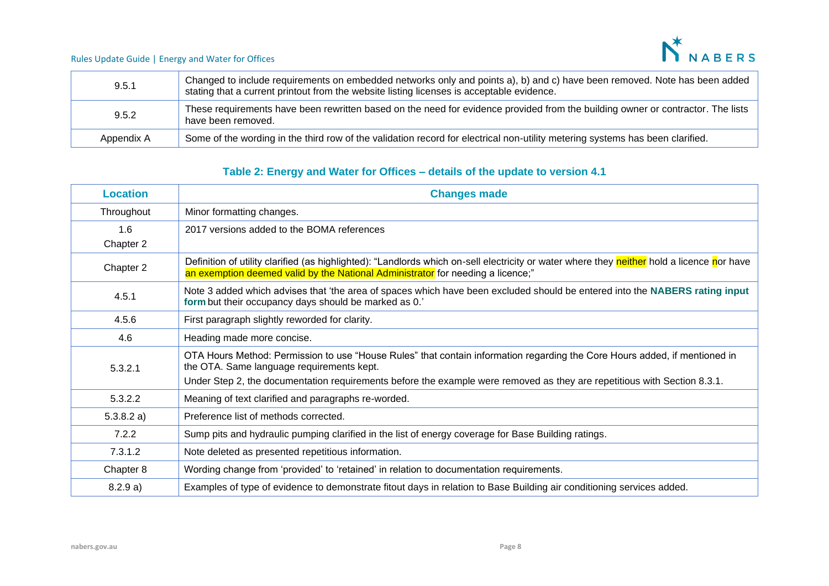N<sup>\*</sup>NABERS

#### Rules Update Guide | Energy and Water for Offices

| 9.5.1      | Changed to include requirements on embedded networks only and points a), b) and c) have been removed. Note has been added<br>stating that a current printout from the website listing licenses is acceptable evidence. |
|------------|------------------------------------------------------------------------------------------------------------------------------------------------------------------------------------------------------------------------|
| 9.5.2      | These requirements have been rewritten based on the need for evidence provided from the building owner or contractor. The lists<br>have been removed.                                                                  |
| Appendix A | Some of the wording in the third row of the validation record for electrical non-utility metering systems has been clarified.                                                                                          |

## **Table 2: Energy and Water for Offices – details of the update to version 4.1**

| <b>Location</b>  | <b>Changes made</b>                                                                                                                                                                                                                                                                                 |
|------------------|-----------------------------------------------------------------------------------------------------------------------------------------------------------------------------------------------------------------------------------------------------------------------------------------------------|
| Throughout       | Minor formatting changes.                                                                                                                                                                                                                                                                           |
| 1.6<br>Chapter 2 | 2017 versions added to the BOMA references                                                                                                                                                                                                                                                          |
| Chapter 2        | Definition of utility clarified (as highlighted): "Landlords which on-sell electricity or water where they neither hold a licence nor have<br>an exemption deemed valid by the National Administrator for needing a licence;"                                                                       |
| 4.5.1            | Note 3 added which advises that 'the area of spaces which have been excluded should be entered into the NABERS rating input<br>form but their occupancy days should be marked as 0.'                                                                                                                |
| 4.5.6            | First paragraph slightly reworded for clarity.                                                                                                                                                                                                                                                      |
| 4.6              | Heading made more concise.                                                                                                                                                                                                                                                                          |
| 5.3.2.1          | OTA Hours Method: Permission to use "House Rules" that contain information regarding the Core Hours added, if mentioned in<br>the OTA. Same language requirements kept.<br>Under Step 2, the documentation requirements before the example were removed as they are repetitious with Section 8.3.1. |
| 5.3.2.2          | Meaning of text clarified and paragraphs re-worded.                                                                                                                                                                                                                                                 |
| 5.3.8.2 a)       | Preference list of methods corrected.                                                                                                                                                                                                                                                               |
| 7.2.2            | Sump pits and hydraulic pumping clarified in the list of energy coverage for Base Building ratings.                                                                                                                                                                                                 |
| 7.3.1.2          | Note deleted as presented repetitious information.                                                                                                                                                                                                                                                  |
| Chapter 8        | Wording change from 'provided' to 'retained' in relation to documentation requirements.                                                                                                                                                                                                             |
| 8.2.9 a)         | Examples of type of evidence to demonstrate fitout days in relation to Base Building air conditioning services added.                                                                                                                                                                               |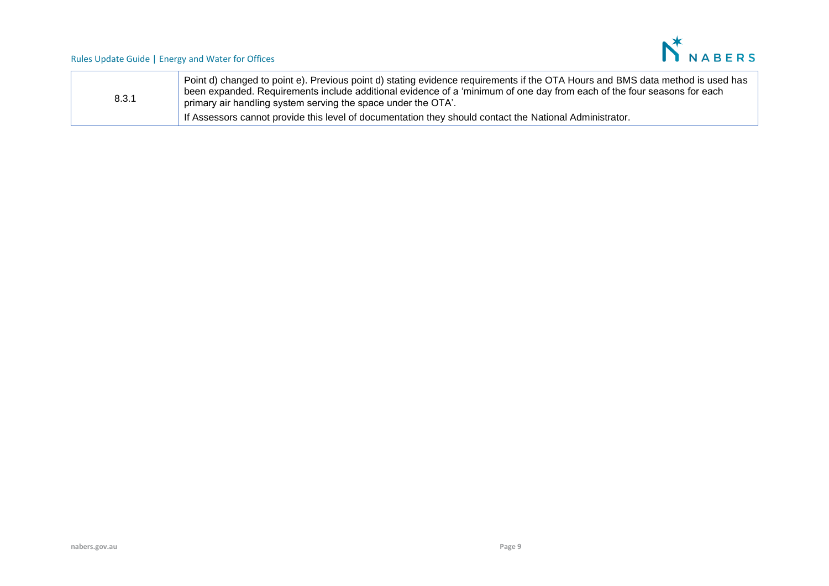

| 8.3.1 | Point d) changed to point e). Previous point d) stating evidence requirements if the OTA Hours and BMS data method is used has<br>$\perp$ been expanded. Requirements include additional evidence of a 'minimum of one day from each of the four seasons for each<br>primary air handling system serving the space under the OTA'. |
|-------|------------------------------------------------------------------------------------------------------------------------------------------------------------------------------------------------------------------------------------------------------------------------------------------------------------------------------------|
|       | If Assessors cannot provide this level of documentation they should contact the National Administrator.                                                                                                                                                                                                                            |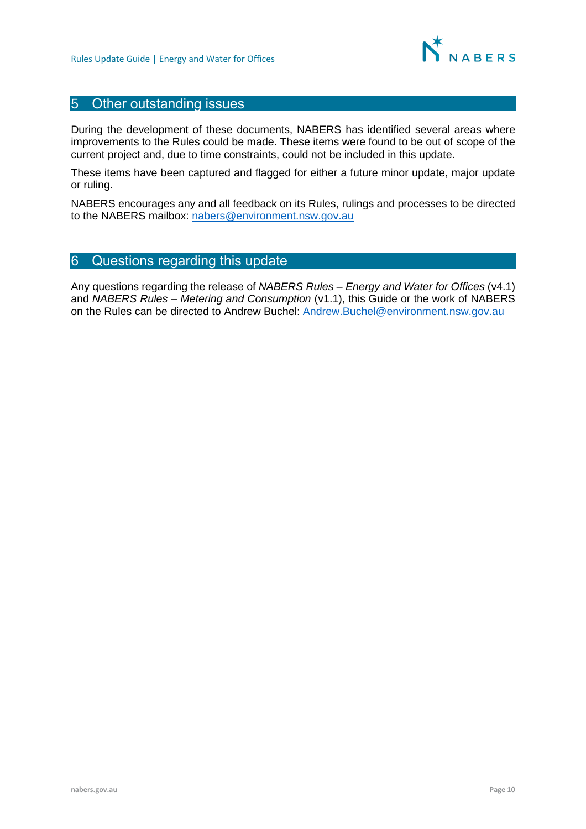

## 5 Other outstanding issues

During the development of these documents, NABERS has identified several areas where improvements to the Rules could be made. These items were found to be out of scope of the current project and, due to time constraints, could not be included in this update.

These items have been captured and flagged for either a future minor update, major update or ruling.

NABERS encourages any and all feedback on its Rules, rulings and processes to be directed to the NABERS mailbox: [nabers@environment.nsw.gov.au](mailto:nabers@environment.nsw.gov.au)

## 6 Questions regarding this update

Any questions regarding the release of *NABERS Rules – Energy and Water for Offices* (v4.1) and *NABERS Rules – Metering and Consumption* (v1.1), this Guide or the work of NABERS on the Rules can be directed to Andrew Buchel: [Andrew.Buchel@environment.nsw.gov.au](mailto:Andrew.Buchel@environment.nsw.gov.au)